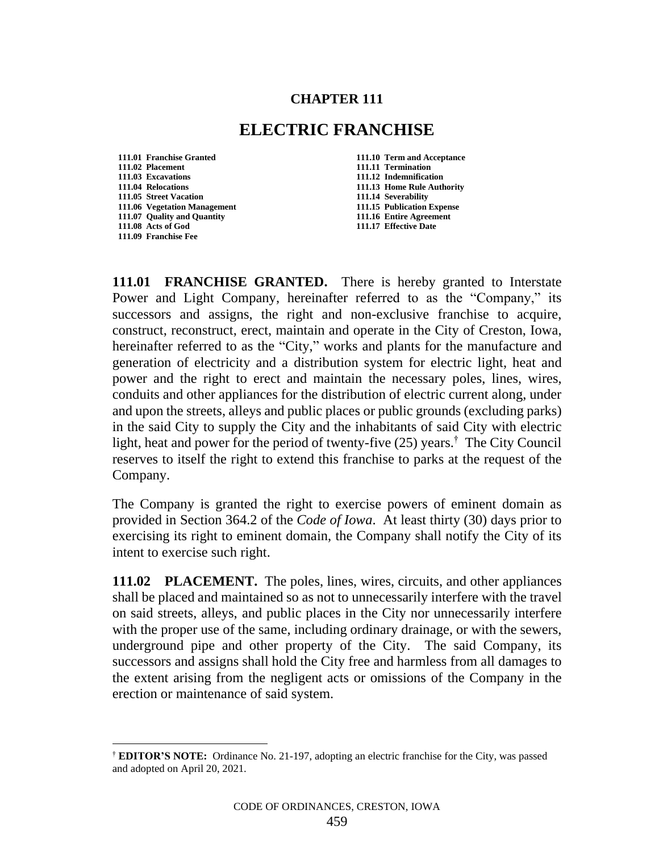## **CHAPTER 111**

## **ELECTRIC FRANCHISE**

- **111.01 Franchise Granted 111.10 Term and Acceptance 111.02 Placement 111.11 Termination 111.04 Relocations**<br> **111.05 Street Vacation**<br> **111.14 Severability 111.05** Street Vacation **111.06 Vegetation Management 111.15 Publication Expense 111.07 Quality and Quantity 111.16 Entire Agreement 111.08 Acts of God 111.17 Effective Date 111.09 Franchise Fee**
	- **111.03 Excavations 111.12 Indemnification**

**111.01 FRANCHISE GRANTED.** There is hereby granted to Interstate Power and Light Company, hereinafter referred to as the "Company," its successors and assigns, the right and non-exclusive franchise to acquire, construct, reconstruct, erect, maintain and operate in the City of Creston, Iowa, hereinafter referred to as the "City," works and plants for the manufacture and generation of electricity and a distribution system for electric light, heat and power and the right to erect and maintain the necessary poles, lines, wires, conduits and other appliances for the distribution of electric current along, under and upon the streets, alleys and public places or public grounds (excluding parks) in the said City to supply the City and the inhabitants of said City with electric light, heat and power for the period of twenty-five (25) years.† The City Council reserves to itself the right to extend this franchise to parks at the request of the Company.

The Company is granted the right to exercise powers of eminent domain as provided in Section 364.2 of the *Code of Iowa*. At least thirty (30) days prior to exercising its right to eminent domain, the Company shall notify the City of its intent to exercise such right.

**111.02 PLACEMENT.** The poles, lines, wires, circuits, and other appliances shall be placed and maintained so as not to unnecessarily interfere with the travel on said streets, alleys, and public places in the City nor unnecessarily interfere with the proper use of the same, including ordinary drainage, or with the sewers, underground pipe and other property of the City. The said Company, its successors and assigns shall hold the City free and harmless from all damages to the extent arising from the negligent acts or omissions of the Company in the erection or maintenance of said system.

<sup>†</sup> **EDITOR'S NOTE:** Ordinance No. 21-197, adopting an electric franchise for the City, was passed and adopted on April 20, 2021.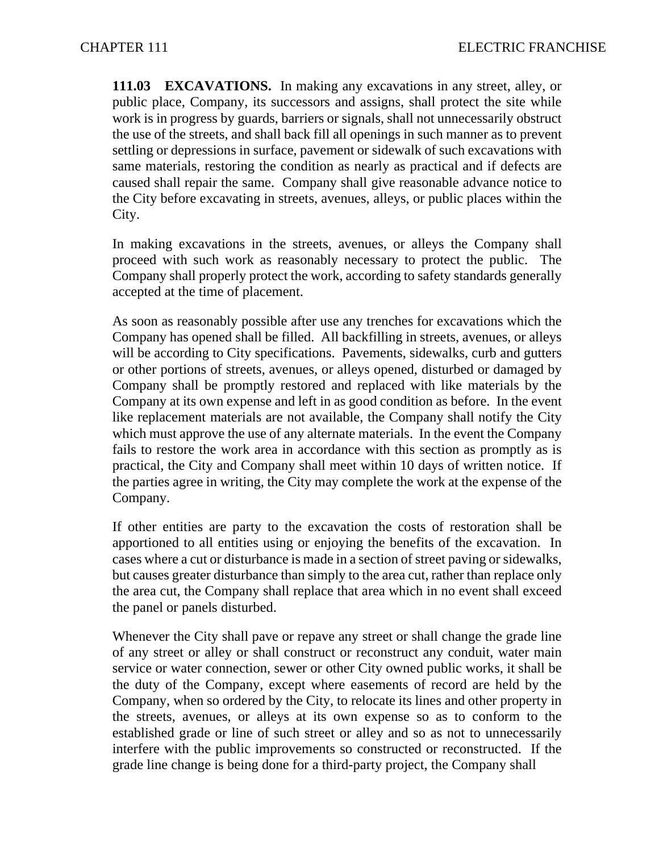**111.03 EXCAVATIONS.** In making any excavations in any street, alley, or public place, Company, its successors and assigns, shall protect the site while work is in progress by guards, barriers or signals, shall not unnecessarily obstruct the use of the streets, and shall back fill all openings in such manner as to prevent settling or depressions in surface, pavement or sidewalk of such excavations with same materials, restoring the condition as nearly as practical and if defects are caused shall repair the same. Company shall give reasonable advance notice to the City before excavating in streets, avenues, alleys, or public places within the City.

In making excavations in the streets, avenues, or alleys the Company shall proceed with such work as reasonably necessary to protect the public. The Company shall properly protect the work, according to safety standards generally accepted at the time of placement.

As soon as reasonably possible after use any trenches for excavations which the Company has opened shall be filled. All backfilling in streets, avenues, or alleys will be according to City specifications. Pavements, sidewalks, curb and gutters or other portions of streets, avenues, or alleys opened, disturbed or damaged by Company shall be promptly restored and replaced with like materials by the Company at its own expense and left in as good condition as before. In the event like replacement materials are not available, the Company shall notify the City which must approve the use of any alternate materials. In the event the Company fails to restore the work area in accordance with this section as promptly as is practical, the City and Company shall meet within 10 days of written notice. If the parties agree in writing, the City may complete the work at the expense of the Company.

If other entities are party to the excavation the costs of restoration shall be apportioned to all entities using or enjoying the benefits of the excavation. In cases where a cut or disturbance is made in a section of street paving or sidewalks, but causes greater disturbance than simply to the area cut, rather than replace only the area cut, the Company shall replace that area which in no event shall exceed the panel or panels disturbed.

Whenever the City shall pave or repave any street or shall change the grade line of any street or alley or shall construct or reconstruct any conduit, water main service or water connection, sewer or other City owned public works, it shall be the duty of the Company, except where easements of record are held by the Company, when so ordered by the City, to relocate its lines and other property in the streets, avenues, or alleys at its own expense so as to conform to the established grade or line of such street or alley and so as not to unnecessarily interfere with the public improvements so constructed or reconstructed. If the grade line change is being done for a third-party project, the Company shall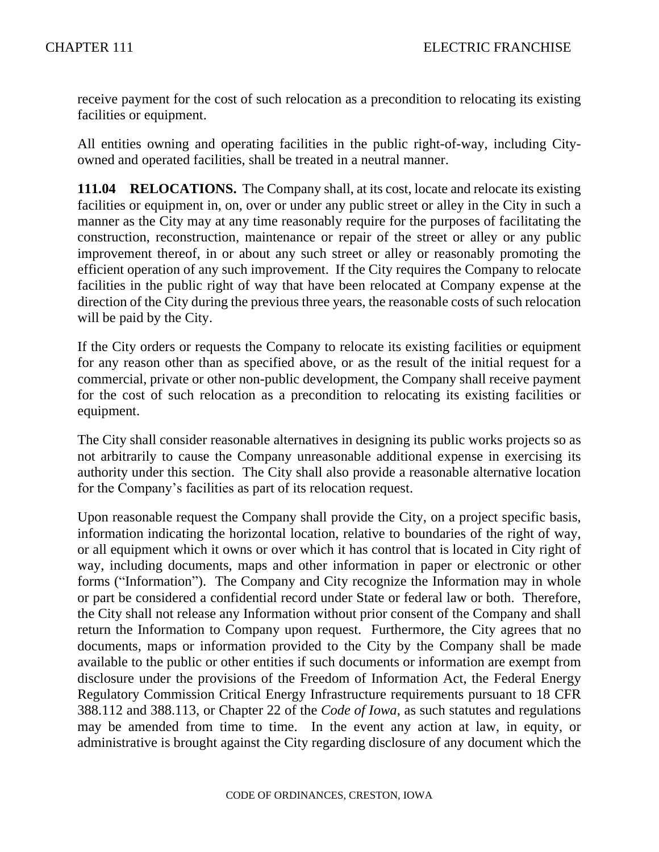receive payment for the cost of such relocation as a precondition to relocating its existing facilities or equipment.

All entities owning and operating facilities in the public right-of-way, including Cityowned and operated facilities, shall be treated in a neutral manner.

**111.04 RELOCATIONS.** The Company shall, at its cost, locate and relocate its existing facilities or equipment in, on, over or under any public street or alley in the City in such a manner as the City may at any time reasonably require for the purposes of facilitating the construction, reconstruction, maintenance or repair of the street or alley or any public improvement thereof, in or about any such street or alley or reasonably promoting the efficient operation of any such improvement. If the City requires the Company to relocate facilities in the public right of way that have been relocated at Company expense at the direction of the City during the previous three years, the reasonable costs of such relocation will be paid by the City.

If the City orders or requests the Company to relocate its existing facilities or equipment for any reason other than as specified above, or as the result of the initial request for a commercial, private or other non-public development, the Company shall receive payment for the cost of such relocation as a precondition to relocating its existing facilities or equipment.

The City shall consider reasonable alternatives in designing its public works projects so as not arbitrarily to cause the Company unreasonable additional expense in exercising its authority under this section. The City shall also provide a reasonable alternative location for the Company's facilities as part of its relocation request.

Upon reasonable request the Company shall provide the City, on a project specific basis, information indicating the horizontal location, relative to boundaries of the right of way, or all equipment which it owns or over which it has control that is located in City right of way, including documents, maps and other information in paper or electronic or other forms ("Information"). The Company and City recognize the Information may in whole or part be considered a confidential record under State or federal law or both. Therefore, the City shall not release any Information without prior consent of the Company and shall return the Information to Company upon request. Furthermore, the City agrees that no documents, maps or information provided to the City by the Company shall be made available to the public or other entities if such documents or information are exempt from disclosure under the provisions of the Freedom of Information Act, the Federal Energy Regulatory Commission Critical Energy Infrastructure requirements pursuant to 18 CFR 388.112 and 388.113, or Chapter 22 of the *Code of Iowa*, as such statutes and regulations may be amended from time to time. In the event any action at law, in equity, or administrative is brought against the City regarding disclosure of any document which the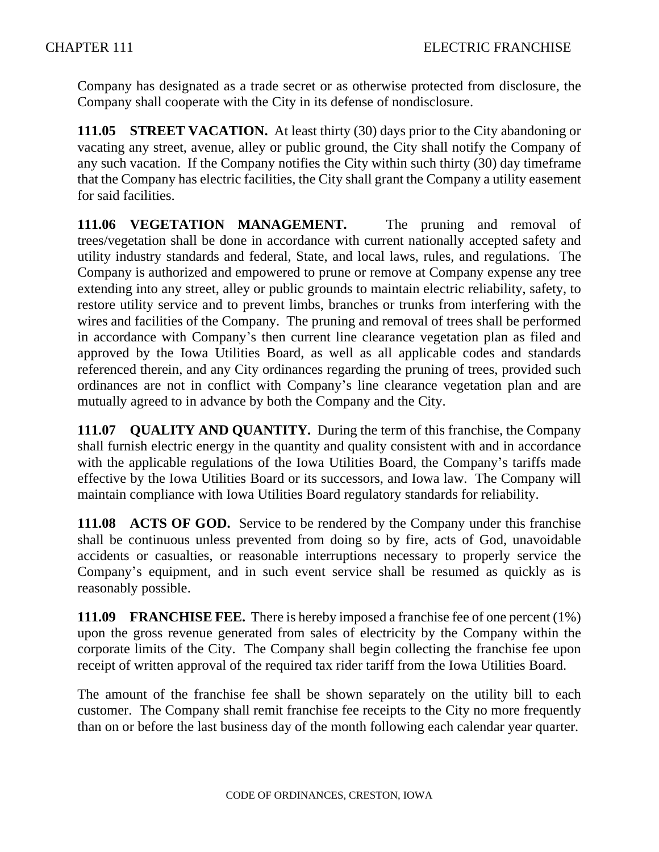Company has designated as a trade secret or as otherwise protected from disclosure, the Company shall cooperate with the City in its defense of nondisclosure.

**111.05 STREET VACATION.** At least thirty (30) days prior to the City abandoning or vacating any street, avenue, alley or public ground, the City shall notify the Company of any such vacation. If the Company notifies the City within such thirty (30) day timeframe that the Company has electric facilities, the City shall grant the Company a utility easement for said facilities.

**111.06 VEGETATION MANAGEMENT.** The pruning and removal of trees/vegetation shall be done in accordance with current nationally accepted safety and utility industry standards and federal, State, and local laws, rules, and regulations. The Company is authorized and empowered to prune or remove at Company expense any tree extending into any street, alley or public grounds to maintain electric reliability, safety, to restore utility service and to prevent limbs, branches or trunks from interfering with the wires and facilities of the Company. The pruning and removal of trees shall be performed in accordance with Company's then current line clearance vegetation plan as filed and approved by the Iowa Utilities Board, as well as all applicable codes and standards referenced therein, and any City ordinances regarding the pruning of trees, provided such ordinances are not in conflict with Company's line clearance vegetation plan and are mutually agreed to in advance by both the Company and the City.

**111.07 QUALITY AND QUANTITY.** During the term of this franchise, the Company shall furnish electric energy in the quantity and quality consistent with and in accordance with the applicable regulations of the Iowa Utilities Board, the Company's tariffs made effective by the Iowa Utilities Board or its successors, and Iowa law. The Company will maintain compliance with Iowa Utilities Board regulatory standards for reliability.

**111.08 ACTS OF GOD.** Service to be rendered by the Company under this franchise shall be continuous unless prevented from doing so by fire, acts of God, unavoidable accidents or casualties, or reasonable interruptions necessary to properly service the Company's equipment, and in such event service shall be resumed as quickly as is reasonably possible.

**111.09 FRANCHISE FEE.** There is hereby imposed a franchise fee of one percent (1%) upon the gross revenue generated from sales of electricity by the Company within the corporate limits of the City. The Company shall begin collecting the franchise fee upon receipt of written approval of the required tax rider tariff from the Iowa Utilities Board.

The amount of the franchise fee shall be shown separately on the utility bill to each customer. The Company shall remit franchise fee receipts to the City no more frequently than on or before the last business day of the month following each calendar year quarter.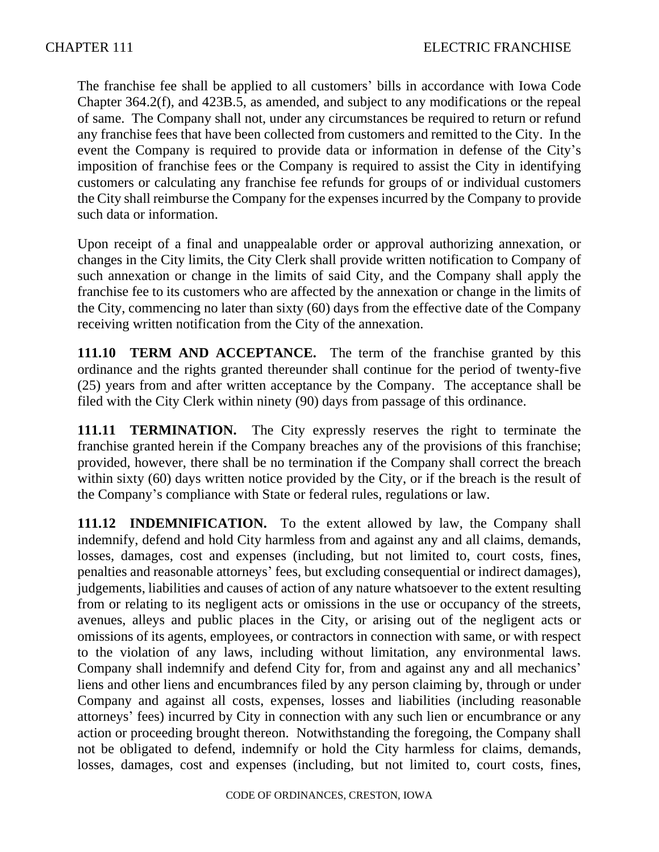The franchise fee shall be applied to all customers' bills in accordance with Iowa Code Chapter 364.2(f), and 423B.5, as amended, and subject to any modifications or the repeal of same. The Company shall not, under any circumstances be required to return or refund any franchise fees that have been collected from customers and remitted to the City. In the event the Company is required to provide data or information in defense of the City's imposition of franchise fees or the Company is required to assist the City in identifying customers or calculating any franchise fee refunds for groups of or individual customers the City shall reimburse the Company for the expenses incurred by the Company to provide such data or information.

Upon receipt of a final and unappealable order or approval authorizing annexation, or changes in the City limits, the City Clerk shall provide written notification to Company of such annexation or change in the limits of said City, and the Company shall apply the franchise fee to its customers who are affected by the annexation or change in the limits of the City, commencing no later than sixty (60) days from the effective date of the Company receiving written notification from the City of the annexation.

**111.10 TERM AND ACCEPTANCE.** The term of the franchise granted by this ordinance and the rights granted thereunder shall continue for the period of twenty-five (25) years from and after written acceptance by the Company. The acceptance shall be filed with the City Clerk within ninety (90) days from passage of this ordinance.

**111.11 TERMINATION.** The City expressly reserves the right to terminate the franchise granted herein if the Company breaches any of the provisions of this franchise; provided, however, there shall be no termination if the Company shall correct the breach within sixty (60) days written notice provided by the City, or if the breach is the result of the Company's compliance with State or federal rules, regulations or law.

**111.12 INDEMNIFICATION.** To the extent allowed by law, the Company shall indemnify, defend and hold City harmless from and against any and all claims, demands, losses, damages, cost and expenses (including, but not limited to, court costs, fines, penalties and reasonable attorneys' fees, but excluding consequential or indirect damages), judgements, liabilities and causes of action of any nature whatsoever to the extent resulting from or relating to its negligent acts or omissions in the use or occupancy of the streets, avenues, alleys and public places in the City, or arising out of the negligent acts or omissions of its agents, employees, or contractors in connection with same, or with respect to the violation of any laws, including without limitation, any environmental laws. Company shall indemnify and defend City for, from and against any and all mechanics' liens and other liens and encumbrances filed by any person claiming by, through or under Company and against all costs, expenses, losses and liabilities (including reasonable attorneys' fees) incurred by City in connection with any such lien or encumbrance or any action or proceeding brought thereon. Notwithstanding the foregoing, the Company shall not be obligated to defend, indemnify or hold the City harmless for claims, demands, losses, damages, cost and expenses (including, but not limited to, court costs, fines,